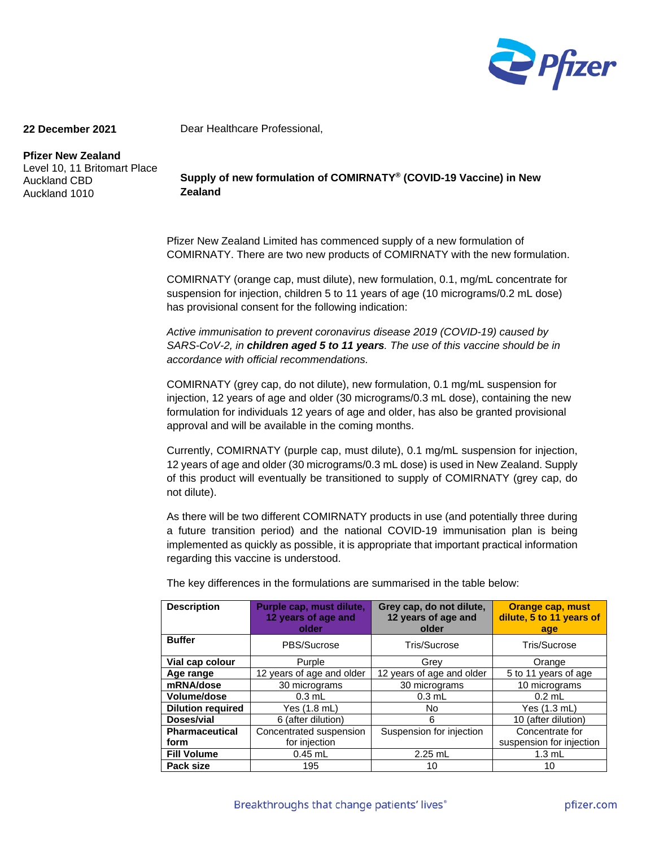

## **22 December 2021**

**Pfizer New Zealand** Level 10, 11 Britomart Place Auckland CBD Auckland 1010

**Supply of new formulation of COMIRNATY® (COVID-19 Vaccine) in New Zealand**

Dear Healthcare Professional,

Pfizer New Zealand Limited has commenced supply of a new formulation of COMIRNATY. There are two new products of COMIRNATY with the new formulation.

COMIRNATY (orange cap, must dilute), new formulation, 0.1, mg/mL concentrate for suspension for injection, children 5 to 11 years of age (10 micrograms/0.2 mL dose) has provisional consent for the following indication:

*Active immunisation to prevent coronavirus disease 2019 (COVID-19) caused by SARS-CoV-2, in children aged 5 to 11 years. The use of this vaccine should be in accordance with official recommendations.*

COMIRNATY (grey cap, do not dilute), new formulation, 0.1 mg/mL suspension for injection, 12 years of age and older (30 micrograms/0.3 mL dose), containing the new formulation for individuals 12 years of age and older, has also be granted provisional approval and will be available in the coming months.

Currently, COMIRNATY (purple cap, must dilute), 0.1 mg/mL suspension for injection, 12 years of age and older (30 micrograms/0.3 mL dose) is used in New Zealand. Supply of this product will eventually be transitioned to supply of COMIRNATY (grey cap, do not dilute).

As there will be two different COMIRNATY products in use (and potentially three during a future transition period) and the national COVID-19 immunisation plan is being implemented as quickly as possible, it is appropriate that important practical information regarding this vaccine is understood.

| <b>Description</b>       | Purple cap, must dilute,<br>12 years of age and<br>older | Grey cap, do not dilute,<br>12 years of age and<br>older | <b>Orange cap, must</b><br>dilute, 5 to 11 years of<br>age |
|--------------------------|----------------------------------------------------------|----------------------------------------------------------|------------------------------------------------------------|
| <b>Buffer</b>            | PBS/Sucrose                                              | Tris/Sucrose                                             | Tris/Sucrose                                               |
| Vial cap colour          | Purple                                                   | Grey                                                     | Orange                                                     |
| Age range                | 12 years of age and older                                | 12 years of age and older                                | 5 to 11 years of age                                       |
| mRNA/dose                | 30 micrograms                                            | 30 micrograms                                            | 10 micrograms                                              |
| Volume/dose              | $0.3$ mL                                                 | $0.3$ mL                                                 | $0.2$ mL                                                   |
| <b>Dilution required</b> | Yes (1.8 mL)                                             | No.                                                      | Yes (1.3 mL)                                               |
| Doses/vial               | 6 (after dilution)                                       | 6                                                        | 10 (after dilution)                                        |
| <b>Pharmaceutical</b>    | Concentrated suspension                                  | Suspension for injection                                 | Concentrate for                                            |
| form                     | for injection                                            |                                                          | suspension for injection                                   |
| <b>Fill Volume</b>       | $0.45$ mL                                                | $2.25$ mL                                                | $1.3 \text{ mL}$                                           |
| Pack size                | 195                                                      | 10                                                       | 10                                                         |

The key differences in the formulations are summarised in the table below: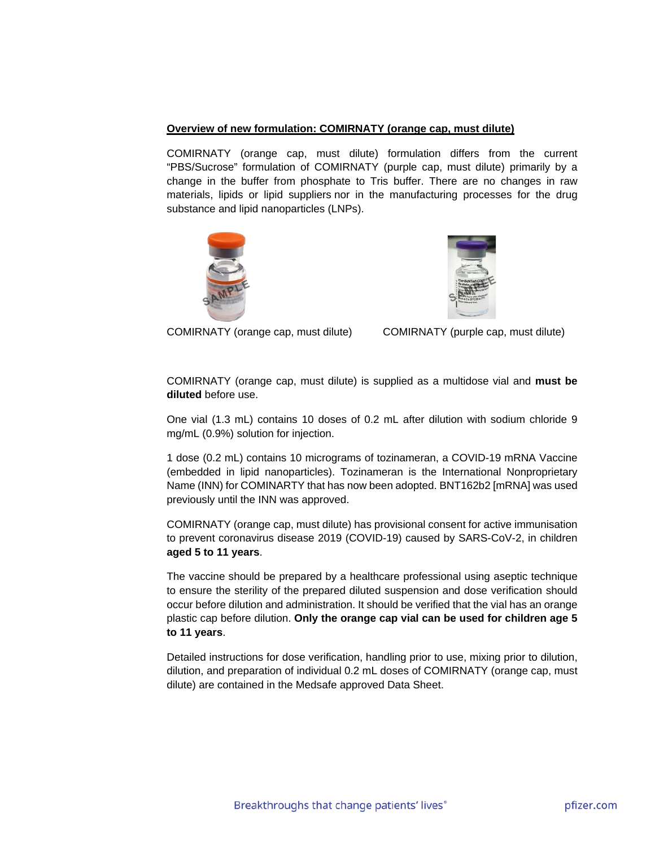## **Overview of new formulation: COMIRNATY (orange cap, must dilute)**

COMIRNATY (orange cap, must dilute) formulation differs from the current "PBS/Sucrose" formulation of COMIRNATY (purple cap, must dilute) primarily by a change in the buffer from phosphate to Tris buffer. There are no changes in raw materials, lipids or lipid suppliers nor in the manufacturing processes for the drug substance and lipid nanoparticles (LNPs).





COMIRNATY (orange cap, must dilute) COMIRNATY (purple cap, must dilute)

COMIRNATY (orange cap, must dilute) is supplied as a multidose vial and **must be diluted** before use.

One vial (1.3 mL) contains 10 doses of 0.2 mL after dilution with sodium chloride 9 mg/mL (0.9%) solution for injection.

1 dose (0.2 mL) contains 10 micrograms of tozinameran, a COVID-19 mRNA Vaccine (embedded in lipid nanoparticles). Tozinameran is the International Nonproprietary Name (INN) for COMINARTY that has now been adopted. BNT162b2 [mRNA] was used previously until the INN was approved.

COMIRNATY (orange cap, must dilute) has provisional consent for active immunisation to prevent coronavirus disease 2019 (COVID-19) caused by SARS-CoV-2, in children **aged 5 to 11 years**.

The vaccine should be prepared by a healthcare professional using aseptic technique to ensure the sterility of the prepared diluted suspension and dose verification should occur before dilution and administration. It should be verified that the vial has an orange plastic cap before dilution. **Only the orange cap vial can be used for children age 5 to 11 years**.

Detailed instructions for dose verification, handling prior to use, mixing prior to dilution, dilution, and preparation of individual 0.2 mL doses of COMIRNATY (orange cap, must dilute) are contained in the Medsafe approved Data Sheet.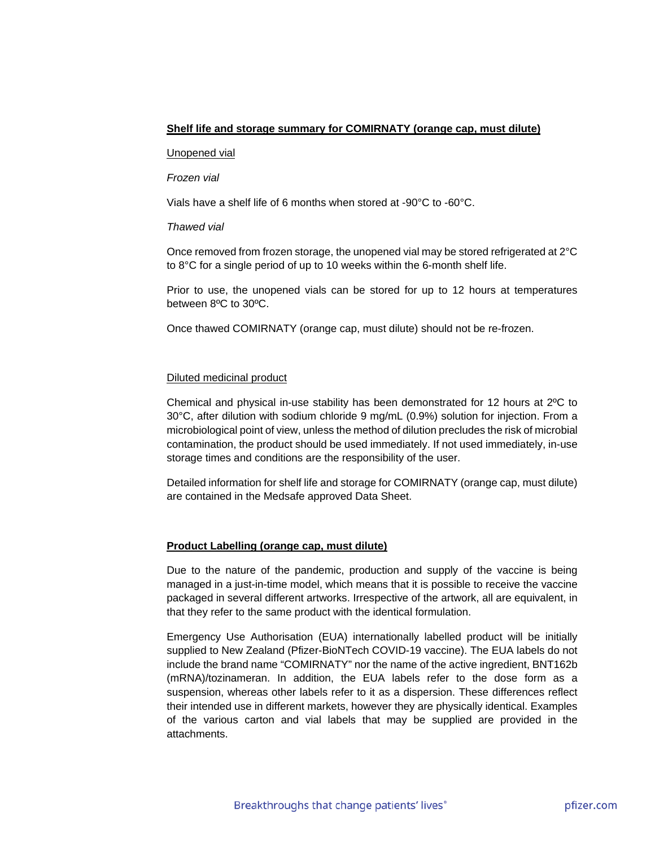# **Shelf life and storage summary for COMIRNATY (orange cap, must dilute)**

#### Unopened vial

## *Frozen vial*

Vials have a shelf life of 6 months when stored at -90°C to -60°C.

### *Thawed vial*

Once removed from frozen storage, the unopened vial may be stored refrigerated at 2°C to 8°C for a single period of up to 10 weeks within the 6-month shelf life.

Prior to use, the unopened vials can be stored for up to 12 hours at temperatures between 8ºC to 30ºC.

Once thawed COMIRNATY (orange cap, must dilute) should not be re-frozen.

## Diluted medicinal product

Chemical and physical in-use stability has been demonstrated for 12 hours at 2ºC to 30°C, after dilution with sodium chloride 9 mg/mL (0.9%) solution for injection. From a microbiological point of view, unless the method of dilution precludes the risk of microbial contamination, the product should be used immediately. If not used immediately, in-use storage times and conditions are the responsibility of the user.

Detailed information for shelf life and storage for COMIRNATY (orange cap, must dilute) are contained in the Medsafe approved Data Sheet.

## **Product Labelling (orange cap, must dilute)**

Due to the nature of the pandemic, production and supply of the vaccine is being managed in a just-in-time model, which means that it is possible to receive the vaccine packaged in several different artworks. Irrespective of the artwork, all are equivalent, in that they refer to the same product with the identical formulation.

Emergency Use Authorisation (EUA) internationally labelled product will be initially supplied to New Zealand (Pfizer-BioNTech COVID-19 vaccine). The EUA labels do not include the brand name "COMIRNATY" nor the name of the active ingredient, BNT162b (mRNA)/tozinameran. In addition, the EUA labels refer to the dose form as a suspension, whereas other labels refer to it as a dispersion. These differences reflect their intended use in different markets, however they are physically identical. Examples of the various carton and vial labels that may be supplied are provided in the attachments.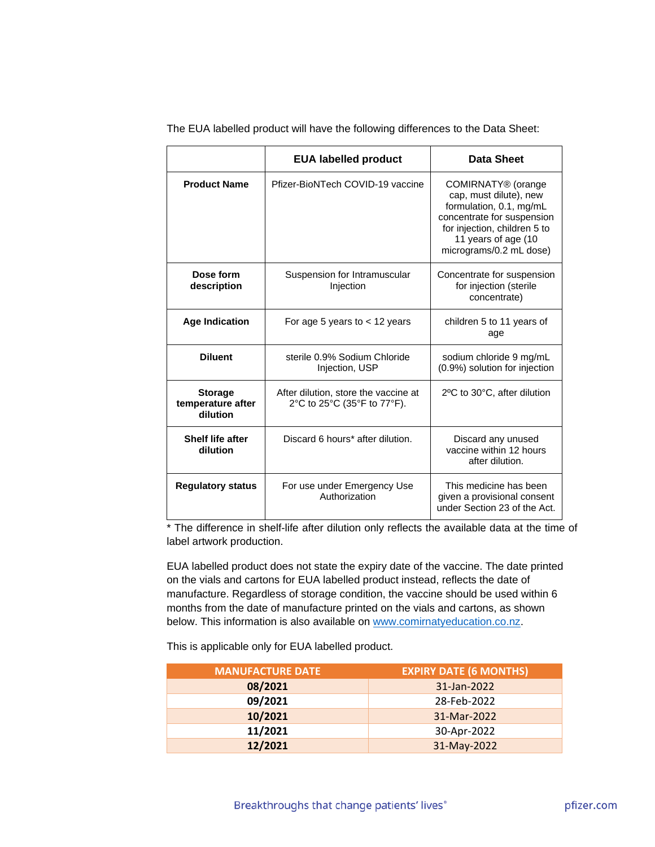|                                                 | <b>EUA labelled product</b>                                         | Data Sheet                                                                                                                                                                                          |
|-------------------------------------------------|---------------------------------------------------------------------|-----------------------------------------------------------------------------------------------------------------------------------------------------------------------------------------------------|
| <b>Product Name</b>                             | Pfizer-BioNTech COVID-19 vaccine                                    | COMIRNATY <sup>®</sup> (orange<br>cap, must dilute), new<br>formulation, 0.1, mg/mL<br>concentrate for suspension<br>for injection, children 5 to<br>11 years of age (10<br>micrograms/0.2 mL dose) |
| Dose form<br>description                        | Suspension for Intramuscular<br>Injection                           | Concentrate for suspension<br>for injection (sterile<br>concentrate)                                                                                                                                |
| <b>Age Indication</b>                           | For age 5 years to $<$ 12 years                                     | children 5 to 11 years of<br>age                                                                                                                                                                    |
| <b>Diluent</b>                                  | sterile 0.9% Sodium Chloride<br>Injection, USP                      | sodium chloride 9 mg/mL<br>(0.9%) solution for injection                                                                                                                                            |
| <b>Storage</b><br>temperature after<br>dilution | After dilution, store the vaccine at<br>2°C to 25°C (35°F to 77°F). | 2°C to 30°C, after dilution                                                                                                                                                                         |
| <b>Shelf life after</b><br>dilution             | Discard 6 hours* after dilution.                                    | Discard any unused<br>vaccine within 12 hours<br>after dilution.                                                                                                                                    |
| <b>Regulatory status</b>                        | For use under Emergency Use<br>Authorization                        | This medicine has been<br>given a provisional consent<br>under Section 23 of the Act.                                                                                                               |

The EUA labelled product will have the following differences to the Data Sheet:

\* The difference in shelf-life after dilution only reflects the available data at the time of label artwork production.

EUA labelled product does not state the expiry date of the vaccine. The date printed on the vials and cartons for EUA labelled product instead, reflects the date of manufacture. Regardless of storage condition, the vaccine should be used within 6 months from the date of manufacture printed on the vials and cartons, as shown below. This information is also available on [www.comirnatyeducation.co.nz.](http://www.comirnatyeducation.co.nz/)

This is applicable only for EUA labelled product.

| <b>MANUFACTURE DATE</b> | <b>EXPIRY DATE (6 MONTHS)</b> |
|-------------------------|-------------------------------|
| 08/2021                 | 31-Jan-2022                   |
| 09/2021                 | 28-Feb-2022                   |
| 10/2021                 | 31-Mar-2022                   |
| 11/2021                 | 30-Apr-2022                   |
| 12/2021                 | 31-May-2022                   |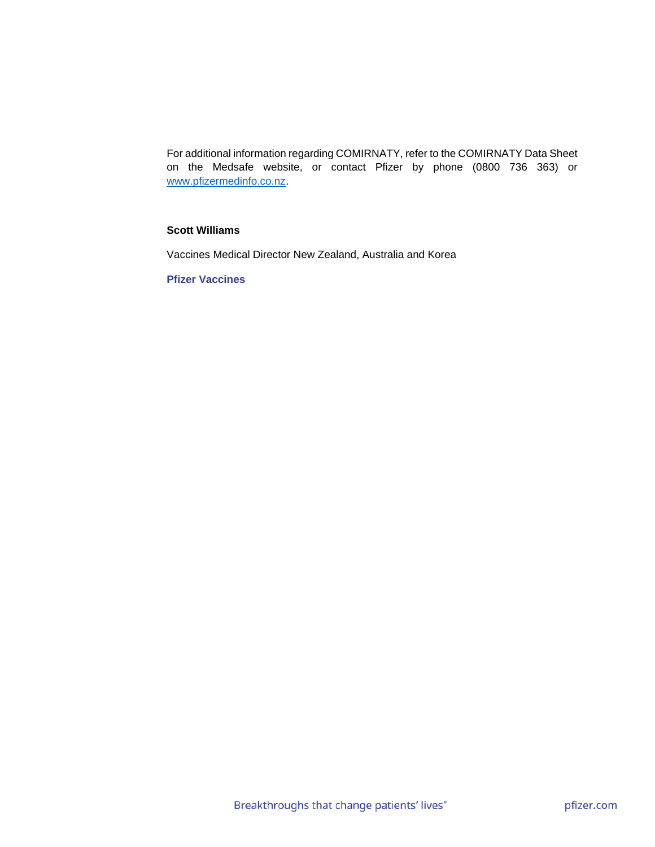For additional information regarding COMIRNATY, refer to the COMIRNATY Data Sheet on the Medsafe website, or contact Pfizer by phone (0800 736 363) or [www.pfizermedinfo.co.nz.](http://www.pfizermedinfo.co.nz/)

# **Scott Williams**

Vaccines Medical Director New Zealand, Australia and Korea

**Pfizer Vaccines**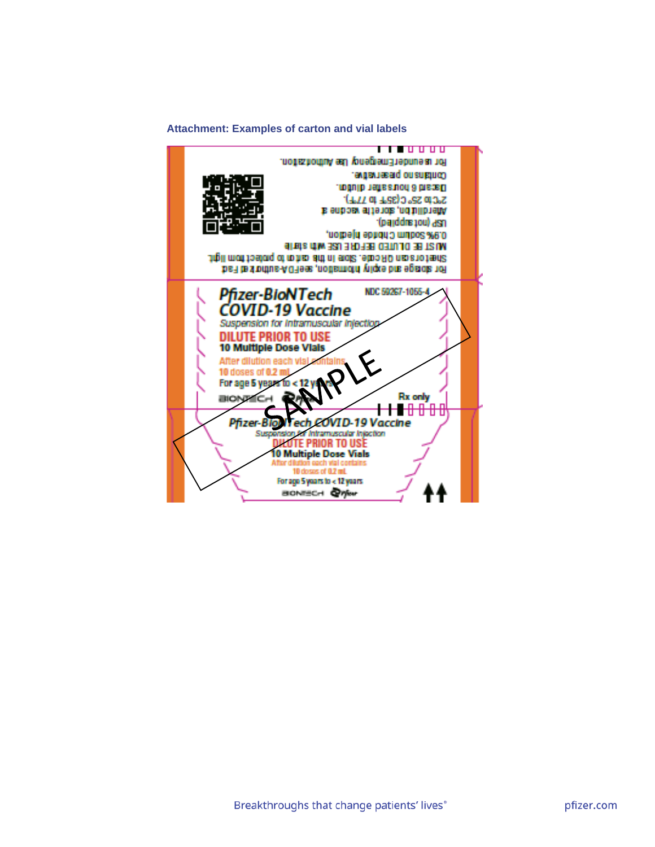#### **Attachment: Examples of carton and vial labels**

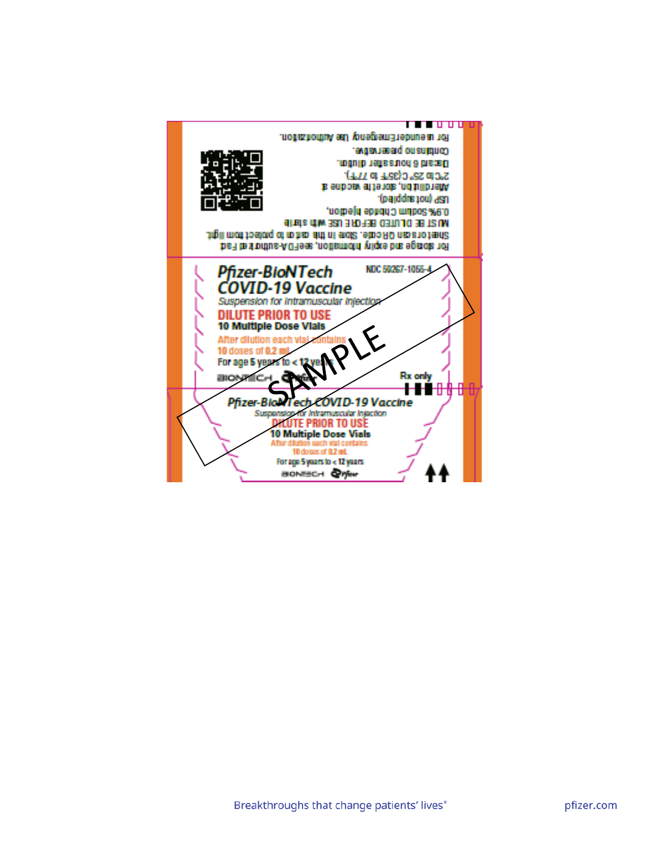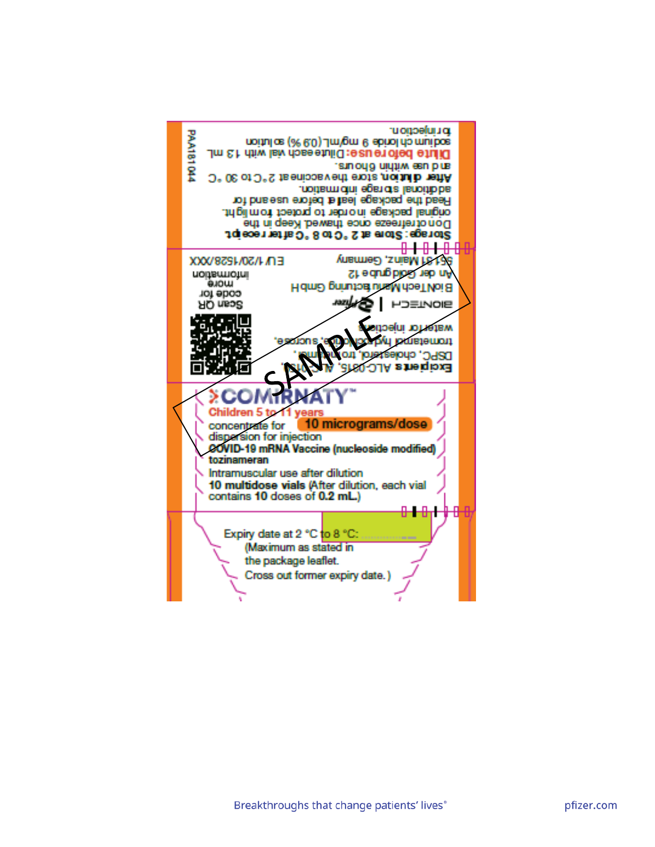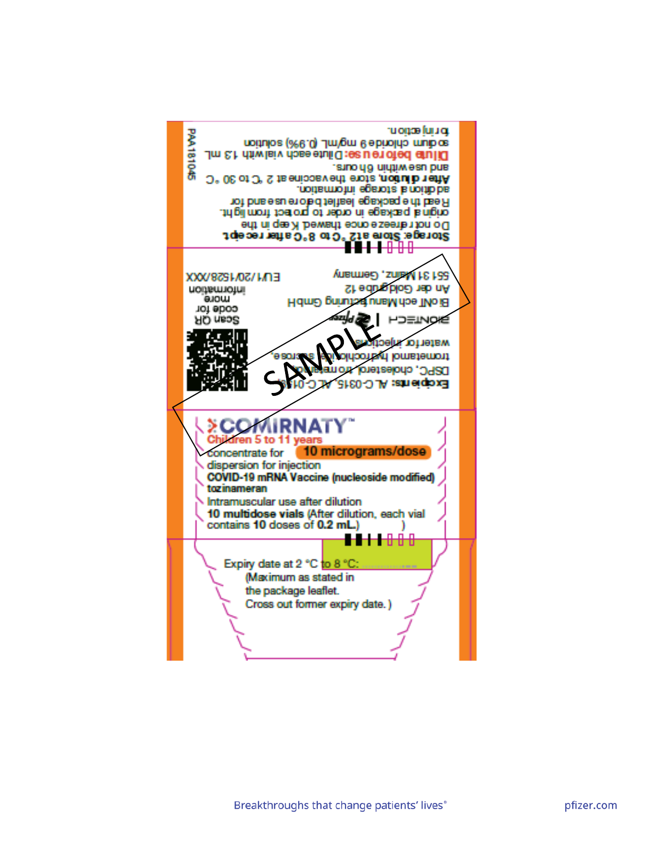